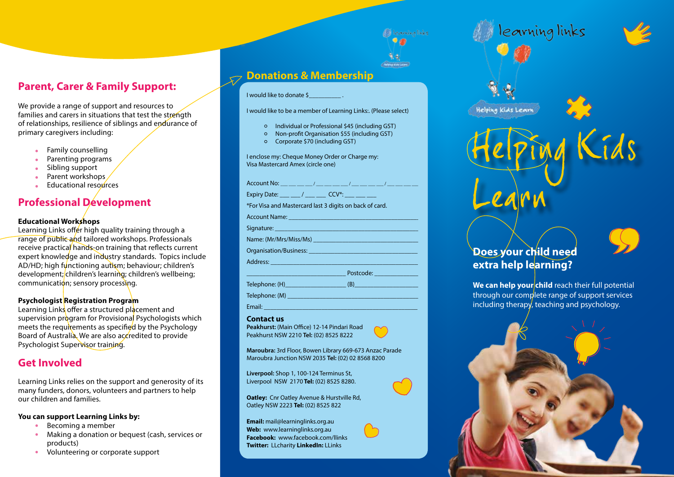## **Parent, Carer & Family Support:**

We provide a range of support and resources to families and carers in situations that test the strength of relationships, resilience of siblings and endurance of primary caregivers including:

- Family counselling
- Parenting programs
- Sibling support
- Parent workshops  $\bullet$
- Educational resources

## **Professional Development**

### **Educational Workshops**

Learning Links offer high quality training through a range of public and tailored workshops. Professionals receive practical hands-on training that reflects current expert knowledge and industry standards. Topics include AD/HD; high functioning autism; behaviour; children's development; children's learning; children's wellbeing; communication; sensory processing.

### **Psychologist Registration Program**

Learning Links offer a structured placement and supervision program for Provisional Psychologists which meets the requirements as specified by the Psychology Board of Australia. We are also accredited to provide Psychologist Supervisor training.

### **Get Involved**

Learning Links relies on the support and generosity of its many funders, donors, volunteers and partners to help our children and families.

### **You can support Learning Links by:**

- Becoming a member
- Making a donation or bequest (cash, services or products)
- Volunteering or corporate support $\bullet$

# **Donations & Membership**

### I would like to donate \$\_\_\_\_\_\_\_\_\_\_ .

I would like to be a member of Learning Links:. (Please select)

1 learning links  $\bullet$ 

**Courses** 

- Individual or Professional \$45 (including GST)
- Non-profit Organisation \$55 (including GST)
- Corporate \$70 (including GST)

I enclose my: Cheque Money Order or Charge my: Visa Mastercard Amex (circle one)

Account No:  $\sqrt{2\pi}$  /  $\sqrt{2\pi}$  /  $\sqrt{2\pi}$ Expiry Date: \_\_\_ \_\_ / \_\_\_ \_ \_\_ CCV\*: \*For Visa and Mastercard last 3 digits on back of card. Account Name: Signature: \_\_\_\_\_\_\_\_\_\_\_\_\_\_\_\_\_\_\_\_\_\_\_\_\_\_\_\_\_\_\_\_\_\_\_\_\_\_\_\_\_\_\_\_\_ Name: (Mr/Mrs/Miss/Ms) Organisation/Business: \_\_\_\_\_\_\_\_\_\_\_\_\_\_\_\_\_\_\_\_\_\_\_\_\_\_\_\_\_\_\_\_\_\_

\_\_\_\_\_\_\_\_\_\_\_\_\_\_\_\_\_\_\_\_\_\_\_\_\_\_\_\_\_\_\_ Postcode: \_\_\_\_\_\_\_\_\_\_\_\_\_\_

Address:

Telephone: (H)\_\_\_\_\_\_\_\_\_\_\_\_\_\_\_\_\_\_\_ (B)\_\_\_\_\_\_\_\_\_\_\_\_\_\_\_\_\_\_\_\_

 $\blacksquare$ Telephone: (M)  $\blacksquare$ 

Email: \_\_\_\_\_\_\_\_\_\_\_\_\_\_\_\_\_\_\_\_\_\_\_\_\_\_\_\_\_\_\_\_\_\_\_\_\_\_\_\_\_\_\_\_\_\_\_\_

#### **Contact us**

**Peakhurst:** (Main Office) 12-14 Pindari Road Peakhurst NSW 2210 **Tel:** (02) 8525 8222

**Maroubra:** 3rd Floor, Bowen Library 669-673 Anzac Parade Maroubra Junction NSW 2035 **Tel:** (02) 02 8568 8200

**Liverpool:** Shop 1, 100-124 Terminus St, Liverpool NSW 2170 **Tel:** (02) 8525 8280.

**Oatley:** Cnr Oatley Avenue & Hurstville Rd, Oatley NSW 2223 **Tel:** (02) 8525 822

**Email:** mail@learninglinks.org.au **Web:** www.learninglinks.org.au **Facebook:** www.facebook.com/llinks **Twitter:** LLcharity **LinkedIn:** LLinks



learning links

## **Does your child need extra help learning?**

We can help your child reach their full potential through our complete range of support services including therapy, teaching and psychology.